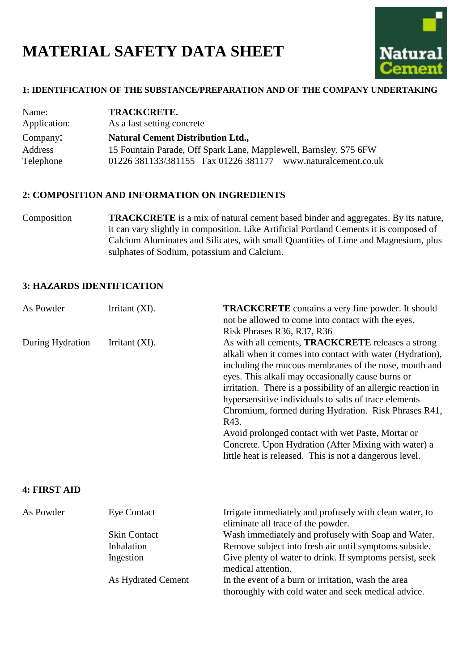# **MATERIAL SAFETY DATA SHEET**



#### **1: IDENTIFICATION OF THE SUBSTANCE/PREPARATION AND OF THE COMPANY UNDERTAKING**

| Name:        | <b>TRACKCRETE.</b>                                                |  |
|--------------|-------------------------------------------------------------------|--|
| Application: | As a fast setting concrete                                        |  |
| Company:     | <b>Natural Cement Distribution Ltd.,</b>                          |  |
| Address      | 15 Fountain Parade, Off Spark Lane, Mapplewell, Barnsley. S75 6FW |  |
| Telephone    | 01226 381133/381155  Fax 01226 381177  www.naturalcement.co.uk    |  |

#### **2: COMPOSITION AND INFORMATION ON INGREDIENTS**

Composition **TRACKCRETE** is a mix of natural cement based binder and aggregates. By its nature, it can vary slightly in composition. Like Artificial Portland Cements it is composed of Calcium Aluminates and Silicates, with small Quantities of Lime and Magnesium, plus sulphates of Sodium, potassium and Calcium.

## **3: HAZARDS IDENTIFICATION**

| As Powder        | lrritant (XI). | <b>TRACKCRETE</b> contains a very fine powder. It should<br>not be allowed to come into contact with the eyes.<br>Risk Phrases R36, R37, R36                                                                                                                                                                                                                                                                                                                                                                                                                                                   |
|------------------|----------------|------------------------------------------------------------------------------------------------------------------------------------------------------------------------------------------------------------------------------------------------------------------------------------------------------------------------------------------------------------------------------------------------------------------------------------------------------------------------------------------------------------------------------------------------------------------------------------------------|
| During Hydration | Irritant (XI). | As with all cements, TRACKCRETE releases a strong<br>alkali when it comes into contact with water (Hydration),<br>including the mucous membranes of the nose, mouth and<br>eyes. This alkali may occasionally cause burns or<br>irritation. There is a possibility of an allergic reaction in<br>hypersensitive individuals to salts of trace elements<br>Chromium, formed during Hydration. Risk Phrases R41,<br>R43.<br>Avoid prolonged contact with wet Paste, Mortar or<br>Concrete. Upon Hydration (After Mixing with water) a<br>little heat is released. This is not a dangerous level. |

#### **4: FIRST AID**

| As Powder | Eye Contact         | Irrigate immediately and profusely with clean water, to<br>eliminate all trace of the powder. |
|-----------|---------------------|-----------------------------------------------------------------------------------------------|
|           | <b>Skin Contact</b> | Wash immediately and profusely with Soap and Water.                                           |
|           | Inhalation          | Remove subject into fresh air until symptoms subside.                                         |
|           | Ingestion           | Give plenty of water to drink. If symptoms persist, seek                                      |
|           |                     | medical attention.                                                                            |
|           | As Hydrated Cement  | In the event of a burn or irritation, wash the area                                           |
|           |                     | thoroughly with cold water and seek medical advice.                                           |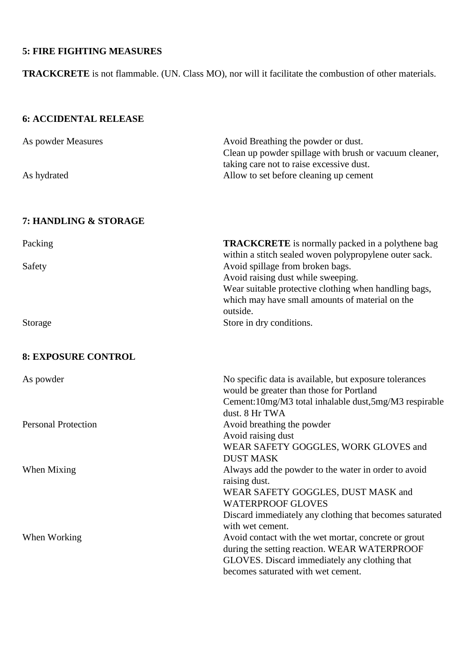## **5: FIRE FIGHTING MEASURES**

**TRACKCRETE** is not flammable. (UN. Class MO), nor will it facilitate the combustion of other materials.

## **6: ACCIDENTAL RELEASE**

| As powder Measures | Avoid Breathing the powder or dust.                    |
|--------------------|--------------------------------------------------------|
|                    | Clean up powder spillage with brush or vacuum cleaner, |
|                    | taking care not to raise excessive dust.               |
| As hydrated        | Allow to set before cleaning up cement                 |
|                    |                                                        |

## **7: HANDLING & STORAGE**

| Packing                    | <b>TRACKCRETE</b> is normally packed in a polythene bag<br>within a stitch sealed woven polypropylene outer sack. |
|----------------------------|-------------------------------------------------------------------------------------------------------------------|
| Safety                     | Avoid spillage from broken bags.<br>Avoid raising dust while sweeping.                                            |
|                            | Wear suitable protective clothing when handling bags,                                                             |
|                            | which may have small amounts of material on the                                                                   |
|                            | outside.                                                                                                          |
| Storage                    | Store in dry conditions.                                                                                          |
| <b>8: EXPOSURE CONTROL</b> |                                                                                                                   |
| As powder                  | No specific data is available, but exposure tolerances<br>would be greater than those for Portland                |
|                            | Cement: 10mg/M3 total inhalable dust, 5mg/M3 respirable                                                           |
|                            | dust. 8 Hr TWA                                                                                                    |
| <b>Personal Protection</b> | Avoid breathing the powder                                                                                        |
|                            | Avoid raising dust                                                                                                |
|                            | WEAR SAFETY GOGGLES, WORK GLOVES and                                                                              |
|                            | <b>DUST MASK</b>                                                                                                  |
| When Mixing                | Always add the powder to the water in order to avoid                                                              |
|                            | raising dust.                                                                                                     |
|                            | WEAR SAFETY GOGGLES, DUST MASK and                                                                                |
|                            | <b>WATERPROOF GLOVES</b>                                                                                          |
|                            | Discard immediately any clothing that becomes saturated                                                           |
|                            | with wet cement.                                                                                                  |
| When Working               | Avoid contact with the wet mortar, concrete or grout                                                              |
|                            | during the setting reaction. WEAR WATERPROOF                                                                      |
|                            | GLOVES. Discard immediately any clothing that                                                                     |
|                            | becomes saturated with wet cement.                                                                                |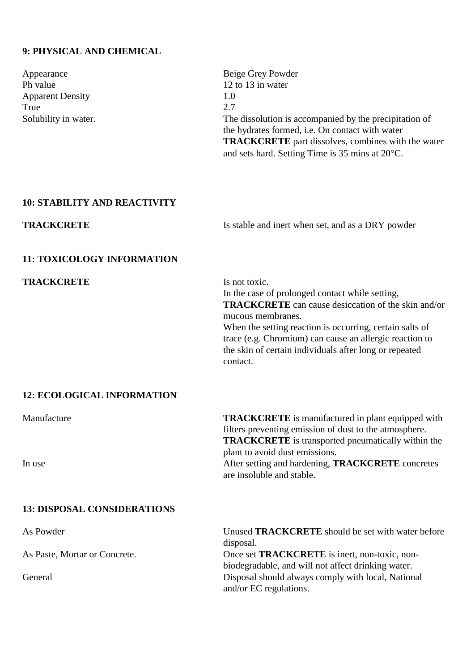## **9: PHYSICAL AND CHEMICAL**

| Appearance<br>Ph value<br><b>Apparent Density</b><br>True | Beige Grey Powder<br>12 to 13 in water<br>1.0<br>2.7                                                                                                                                                                                                                                                                                             |
|-----------------------------------------------------------|--------------------------------------------------------------------------------------------------------------------------------------------------------------------------------------------------------------------------------------------------------------------------------------------------------------------------------------------------|
| Solubility in water.                                      | The dissolution is accompanied by the precipitation of<br>the hydrates formed, i.e. On contact with water<br><b>TRACKCRETE</b> part dissolves, combines with the water<br>and sets hard. Setting Time is 35 mins at 20°C.                                                                                                                        |
| <b>10: STABILITY AND REACTIVITY</b>                       |                                                                                                                                                                                                                                                                                                                                                  |
| <b>TRACKCRETE</b>                                         | Is stable and inert when set, and as a DRY powder                                                                                                                                                                                                                                                                                                |
| <b>11: TOXICOLOGY INFORMATION</b>                         |                                                                                                                                                                                                                                                                                                                                                  |
| <b>TRACKCRETE</b>                                         | Is not toxic.<br>In the case of prolonged contact while setting,<br><b>TRACKCRETE</b> can cause desiccation of the skin and/or<br>mucous membranes.<br>When the setting reaction is occurring, certain salts of<br>trace (e.g. Chromium) can cause an allergic reaction to<br>the skin of certain individuals after long or repeated<br>contact. |
| <b>12: ECOLOGICAL INFORMATION</b>                         |                                                                                                                                                                                                                                                                                                                                                  |
| Manufacture<br>In use                                     | <b>TRACKCRETE</b> is manufactured in plant equipped with<br>filters preventing emission of dust to the atmosphere.<br><b>TRACKCRETE</b> is transported pneumatically within the<br>plant to avoid dust emissions.<br>After setting and hardening, <b>TRACKCRETE</b> concretes                                                                    |
|                                                           | are insoluble and stable.                                                                                                                                                                                                                                                                                                                        |
| <b>13: DISPOSAL CONSIDERATIONS</b>                        |                                                                                                                                                                                                                                                                                                                                                  |
| As Powder                                                 | Unused <b>TRACKCRETE</b> should be set with water before<br>disposal.                                                                                                                                                                                                                                                                            |
| As Paste, Mortar or Concrete.                             | Once set <b>TRACKCRETE</b> is inert, non-toxic, non-<br>biodegradable, and will not affect drinking water.                                                                                                                                                                                                                                       |
| General                                                   | Disposal should always comply with local, National<br>and/or EC regulations.                                                                                                                                                                                                                                                                     |